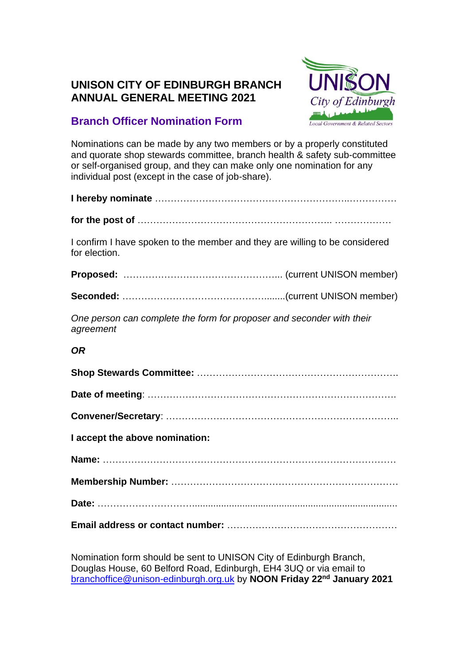## **UNISON CITY OF EDINBURGH BRANCH ANNUAL GENERAL MEETING 2021**



# **Branch Officer Nomination Form**

Nominations can be made by any two members or by a properly constituted and quorate shop stewards committee, branch health & safety sub-committee or self-organised group, and they can make only one nomination for any individual post (except in the case of job-share).

| I confirm I have spoken to the member and they are willing to be considered<br>for election. |
|----------------------------------------------------------------------------------------------|
|                                                                                              |
|                                                                                              |
| One person can complete the form for proposer and seconder with their<br>agreement           |

### *OR*

| I accept the above nomination: |
|--------------------------------|
|                                |
|                                |
|                                |
|                                |

Nomination form should be sent to UNISON City of Edinburgh Branch, Douglas House, 60 Belford Road, Edinburgh, EH4 3UQ or via email to [branchoffice@unison-edinburgh.org.uk](mailto:branchoffice@unison-edinburgh.org.uk) by **NOON Friday 22nd January 2021**